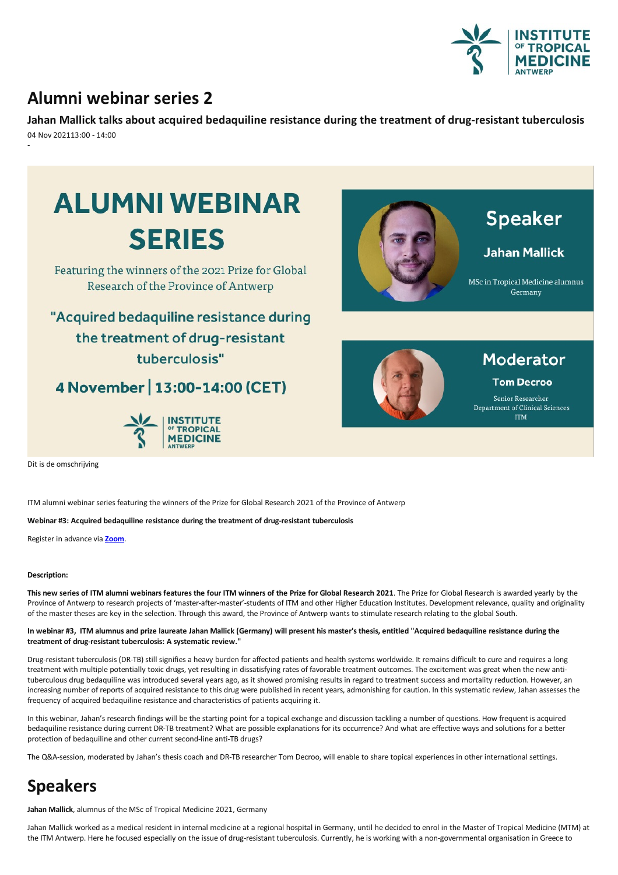

## **Alumni webinar series 2**

**Jahan Mallicktalks about acquired bedaquiline resistance duringthe treatment of drug-resistant tuberculosis** 04 Nov 202113:00 - 14:00 -



ITM alumni webinar series featuring the winners of the Prize for Global Research 2021 of the Province of Antwerp

**Webinar #3: Acquired bedaquiline resistance duringthe treatment of drug-resistant tuberculosis**

Register in advance via **[Zoom](https://itg.zoom.us/webinar/register/5716342159238/WN_QA2--0bATBSOKq2CZ8Vj2g)**.

## **Description:**

This new series of ITM alumni webinars features the four ITM winners of the Prize for Global Research 2021. The Prize for Global Research is awarded yearly by the Province of Antwerp to research projects of 'master-after-master'-students of ITM and other Higher Education Institutes. Development relevance, quality and originality of the master theses are key in the selection. Through this award, the Province of Antwerp wants to stimulate research relating to the global South.

In webinar #3, ITM alumnus and prize laureate Jahan Mallick (Germany) will present his master's thesis, entitled "Acquired bedaquiline resistance during the **treatment of drug-resistant tuberculosis: A systematic review."**

Drug-resistant tuberculosis (DR-TB) still signifies a heavy burden for affected patients and health systems worldwide. It remains difficult to cure and requires a long treatment with multiple potentially toxic drugs, yet resulting in dissatisfying rates of favorable treatment outcomes. The excitement was great when the new antituberculous drug bedaquiline was introduced several years ago, as it showed promising results in regard to treatment success and mortality reduction. However, an increasing number of reports of acquired resistance to this drug were published in recent years, admonishing for caution. In this systematic review, Jahan assesses the frequency of acquired bedaquiline resistance and characteristics of patients acquiring it.

In this webinar, Jahan's research findings will be the starting point for a topical exchange and discussion tackling a number of questions. How frequent is acquired bedaquiline resistance during current DR-TB treatment? What are possible explanations for its occurrence? And what are effective ways and solutions for a better protection of bedaquiline and other current second-line anti-TB drugs?

The Q&A-session, moderated by Jahan's thesis coach and DR-TB researcher Tom Decroo, will enable to share topical experiences in other international settings.

## **Speakers**

Jahan Mallick, alumnus of the MSc of Tropical Medicine 2021, Germany

Jahan Mallick worked as a medical resident in internal medicine at a regional hospital in Germany, until he decided to enrol in the Master of Tropical Medicine (MTM) at the ITM Antwerp. Here he focused especially on the issue of drug-resistant tuberculosis. Currently, he is working with a non-governmental organisation in Greece to